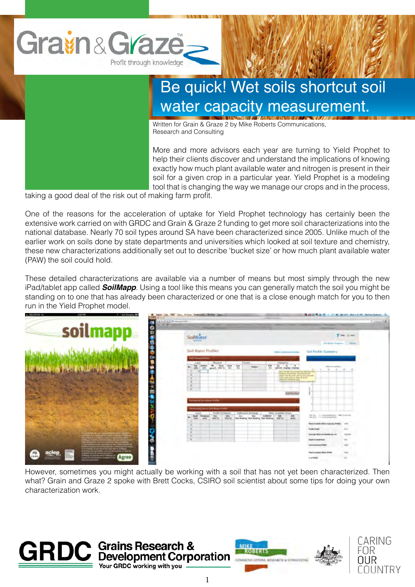

## Be quick! Wet soils shortcut soil water capacity measurement.

Written for Grain & Graze 2 by Mike Roberts Communications, Research and Consulting

More and more advisors each year are turning to Yield Prophet to help their clients discover and understand the implications of knowing exactly how much plant available water and nitrogen is present in their soil for a given crop in a particular year. Yield Prophet is a modeling tool that is changing the way we manage our crops and in the process,

taking a good deal of the risk out of making farm profit.

One of the reasons for the acceleration of uptake for Yield Prophet technology has certainly been the extensive work carried on with GRDC and Grain & Graze 2 funding to get more soil characterizations into the national database. Nearly 70 soil types around SA have been characterized since 2005. Unlike much of the earlier work on soils done by state departments and universities which looked at soil texture and chemistry, these new characterizations additionally set out to describe 'bucket size' or how much plant available water (PAW) the soil could hold.

These detailed characterizations are available via a number of means but most simply through the new iPad/tablet app called *SoilMapp*. Using a tool like this means you can generally match the soil you might be standing on to one that has already been characterized or one that is a close enough match for you to then run in the Yield Prophet model.

| a. VELOPPUS 30<br>4   Not Granatop<br>2103 PM                                       | Vol., 117415. Automatics, Minister Jack<br><b><i>CARD COMPANY</i></b><br>E.A.L.Wompannish                                                                                                  | <b>B.B.Q.T.A.O.   P.M. Bl.Inc. But Lit.Nt. McLacifickant.</b>                                                                                                                                                                   |
|-------------------------------------------------------------------------------------|--------------------------------------------------------------------------------------------------------------------------------------------------------------------------------------------|---------------------------------------------------------------------------------------------------------------------------------------------------------------------------------------------------------------------------------|
| soilmapp<br>c                                                                       | SoilWater<br><b>PRODUCES</b>                                                                                                                                                               | <b>Roman States of Children Carry</b><br>7 Ink or her                                                                                                                                                                           |
|                                                                                     | Soil Water Profiler<br><b>NECKWEIGHT</b>                                                                                                                                                   | <b>D-8 Kat-r Tagerry 11 Sales</b><br>Sail Profile Sympatry<br><b>DATE: CARDINAL PRODUCT</b>                                                                                                                                     |
|                                                                                     | Physical.<br>Chevroleters<br><b>LAST</b><br><b>STEWART</b><br>Arkan W<br>w<br>464<br>w<br>$-$<br>$-0.00$<br>需<br>with first in-<br><b>INC</b><br>and a<br><b>SHOW:</b><br>short make royal | $\cdot$<br>New York Assembly<br>$\sim$<br>$\cdots$<br><b>PRICE TO TRATING CUSTOMETRY BASES</b><br>Theatrical Associated - Internet and the<br>taken line in table your to be coloured<br>to day years comes as there of the SC. |
|                                                                                     |                                                                                                                                                                                            | <b>SAN BALLAST TANKS</b>                                                                                                                                                                                                        |
|                                                                                     | course in the legal Profits<br><b>Lothary (meet full Mysel Politi-</b><br>Finallity 15 or detection.<br><b>That Installer Bases</b><br>1 Vallinoita in Brookings<br>Tuesday                |                                                                                                                                                                                                                                 |
|                                                                                     | m<br><b>HAA</b><br>$\overline{ }$<br><b>Sept Produced</b><br>884<br><b>Hind Talk</b><br><b>Ray Booking, She Reading, The Reading.</b> And Its<br><b>John Tex</b>                           | The company where<br>呉<br>Pand Arizable Mater Expects (Palm)<br><b>Telephone</b><br><b>Frank Door</b><br>and .                                                                                                                  |
| and the children are a compact that the process<br><b>Maria Alexandria</b> Maria de |                                                                                                                                                                                            | <b>Exercise Write Australian per co-</b><br><b>CALCULAR</b><br><b>Institute in Australian</b><br>hot.<br><b><i><u>International PARC</u></i></b><br>$\overline{\phantom{a}}$                                                    |
| $\overline{a}$<br>Agree<br><b><i><u>Salta diseastas</u></i></b>                     |                                                                                                                                                                                            | Fank Australia Haller (FAA)<br>$\frac{1}{2}$<br>m<br>same.                                                                                                                                                                      |

However, sometimes you might actually be working with a soil that has not yet been characterized. Then what? Grain and Graze 2 spoke with Brett Cocks, CSIRO soil scientist about some tips for doing your own characterization work.





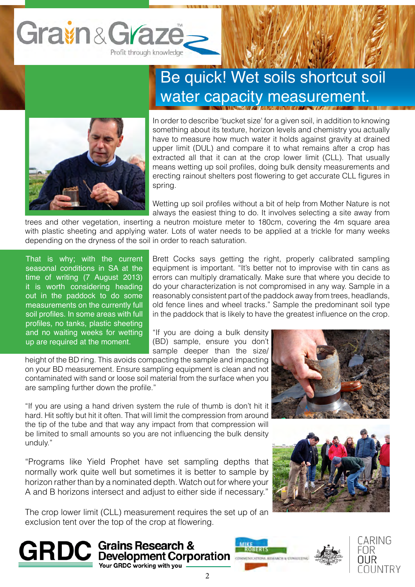

## Be quick! Wet soils shortcut soil water capacity measurement.



In order to describe 'bucket size' for a given soil, in addition to knowing something about its texture, horizon levels and chemistry you actually have to measure how much water it holds against gravity at drained upper limit (DUL) and compare it to what remains after a crop has extracted all that it can at the crop lower limit (CLL). That usually means wetting up soil profiles, doing bulk density measurements and erecting rainout shelters post flowering to get accurate CLL figures in spring.

Wetting up soil profiles without a bit of help from Mother Nature is not always the easiest thing to do. It involves selecting a site away from

trees and other vegetation, inserting a neutron moisture meter to 180cm, covering the 4m square area with plastic sheeting and applying water. Lots of water needs to be applied at a trickle for many weeks depending on the dryness of the soil in order to reach saturation.

That is why; with the current seasonal conditions in SA at the time of writing (7 August 2013) it is worth considering heading out in the paddock to do some measurements on the currently full soil profiles. In some areas with full profiles, no tanks, plastic sheeting and no waiting weeks for wetting up are required at the moment.

Brett Cocks says getting the right, properly calibrated sampling equipment is important. "It's better not to improvise with tin cans as errors can multiply dramatically. Make sure that where you decide to do your characterization is not compromised in any way. Sample in a reasonably consistent part of the paddock away from trees, headlands, old fence lines and wheel tracks." Sample the predominant soil type in the paddock that is likely to have the greatest influence on the crop.

"If you are doing a bulk density (BD) sample, ensure you don't sample deeper than the size/

height of the BD ring. This avoids compacting the sample and impacting on your BD measurement. Ensure sampling equipment is clean and not contaminated with sand or loose soil material from the surface when you are sampling further down the profile."

"If you are using a hand driven system the rule of thumb is don't hit it hard. Hit softly but hit it often. That will limit the compression from around the tip of the tube and that way any impact from that compression will be limited to small amounts so you are not influencing the bulk density unduly."

"Programs like Yield Prophet have set sampling depths that normally work quite well but sometimes it is better to sample by horizon rather than by a nominated depth. Watch out for where your A and B horizons intersect and adjust to either side if necessary."

The crop lower limit (CLL) measurement requires the set up of an exclusion tent over the top of the crop at flowering.

**GRDC** Grains Research & **MRSEERTS** 

Your GRDC working with you